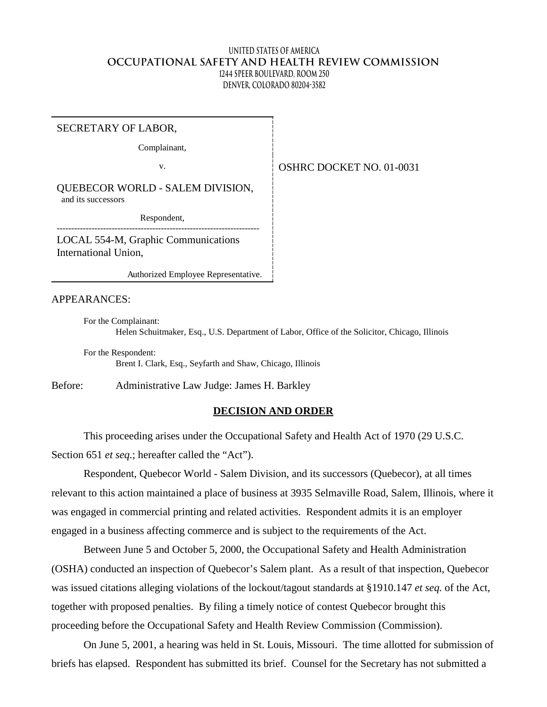#### **United States of America OCCUPATIONAL SAFETY AND HEALTH REVIEW COMMISSION 1244 Speer Boulevard, Room 250 Denver, Colorado 80204-3582**

SECRETARY OF LABOR,

Complainant,

v.

OSHRC DOCKET NO. 01-0031

QUEBECOR WORLD - SALEM DIVISION, and its successors

---------------------------------------------------------------------- Respondent,

LOCAL 554-M, Graphic Communications International Union,

Authorized Employee Representative.

APPEARANCES:

For the Complainant: Helen Schuitmaker, Esq., U.S. Department of Labor, Office of the Solicitor, Chicago, Illinois

For the Respondent: Brent I. Clark, Esq., Seyfarth and Shaw, Chicago, Illinois

Before: Administrative Law Judge: James H. Barkley

#### **DECISION AND ORDER**

This proceeding arises under the Occupational Safety and Health Act of 1970 (29 U.S.C. Section 651 *et seq.*; hereafter called the "Act").

Respondent, Quebecor World - Salem Division, and its successors (Quebecor), at all times relevant to this action maintained a place of business at 3935 Selmaville Road, Salem, Illinois, where it was engaged in commercial printing and related activities. Respondent admits it is an employer engaged in a business affecting commerce and is subject to the requirements of the Act.

Between June 5 and October 5, 2000, the Occupational Safety and Health Administration (OSHA) conducted an inspection of Quebecor's Salem plant. As a result of that inspection, Quebecor was issued citations alleging violations of the lockout/tagout standards at §1910.147 *et seq.* of the Act, together with proposed penalties. By filing a timely notice of contest Quebecor brought this proceeding before the Occupational Safety and Health Review Commission (Commission).

On June 5, 2001, a hearing was held in St. Louis, Missouri. The time allotted for submission of briefs has elapsed. Respondent has submitted its brief. Counsel for the Secretary has not submitted a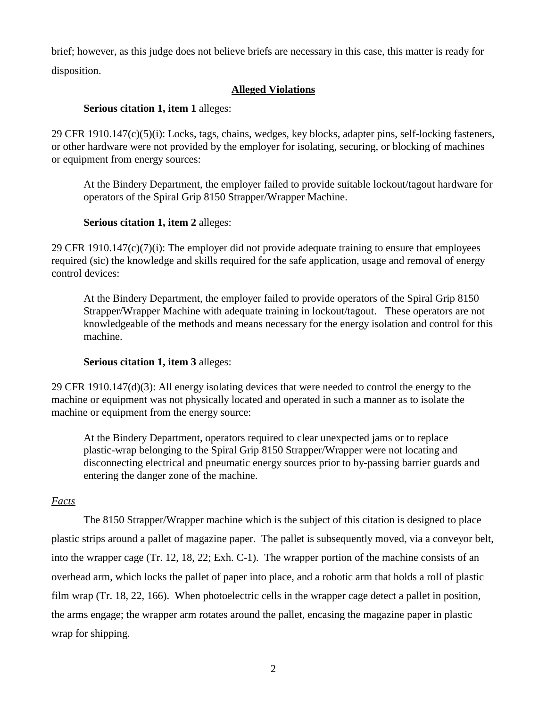brief; however, as this judge does not believe briefs are necessary in this case, this matter is ready for disposition.

# **Alleged Violations**

## **Serious citation 1, item 1** alleges:

29 CFR 1910.147(c)(5)(i): Locks, tags, chains, wedges, key blocks, adapter pins, self-locking fasteners, or other hardware were not provided by the employer for isolating, securing, or blocking of machines or equipment from energy sources:

At the Bindery Department, the employer failed to provide suitable lockout/tagout hardware for operators of the Spiral Grip 8150 Strapper/Wrapper Machine.

## **Serious citation 1, item 2** alleges:

29 CFR 1910.147 $(c)(7)(i)$ : The employer did not provide adequate training to ensure that employees required (sic) the knowledge and skills required for the safe application, usage and removal of energy control devices:

At the Bindery Department, the employer failed to provide operators of the Spiral Grip 8150 Strapper/Wrapper Machine with adequate training in lockout/tagout. These operators are not knowledgeable of the methods and means necessary for the energy isolation and control for this machine.

# **Serious citation 1, item 3** alleges:

29 CFR 1910.147(d)(3): All energy isolating devices that were needed to control the energy to the machine or equipment was not physically located and operated in such a manner as to isolate the machine or equipment from the energy source:

At the Bindery Department, operators required to clear unexpected jams or to replace plastic-wrap belonging to the Spiral Grip 8150 Strapper/Wrapper were not locating and disconnecting electrical and pneumatic energy sources prior to by-passing barrier guards and entering the danger zone of the machine.

### *Facts*

The 8150 Strapper/Wrapper machine which is the subject of this citation is designed to place plastic strips around a pallet of magazine paper. The pallet is subsequently moved, via a conveyor belt, into the wrapper cage (Tr. 12, 18, 22; Exh. C-1). The wrapper portion of the machine consists of an overhead arm, which locks the pallet of paper into place, and a robotic arm that holds a roll of plastic film wrap (Tr. 18, 22, 166). When photoelectric cells in the wrapper cage detect a pallet in position, the arms engage; the wrapper arm rotates around the pallet, encasing the magazine paper in plastic wrap for shipping.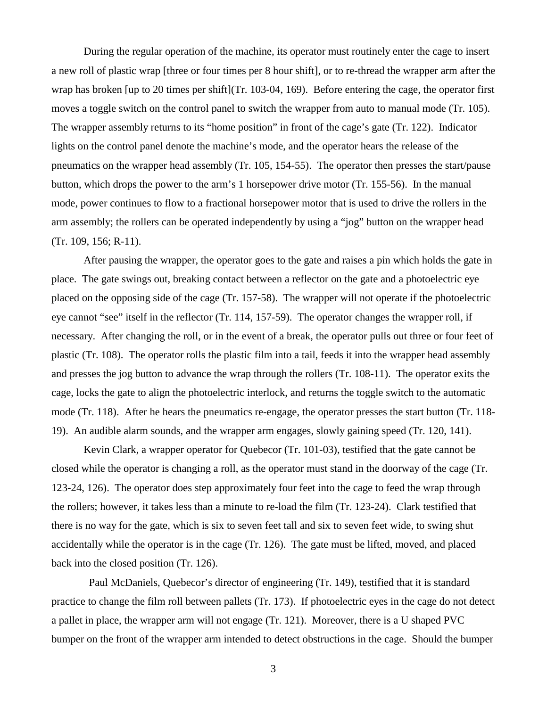During the regular operation of the machine, its operator must routinely enter the cage to insert a new roll of plastic wrap [three or four times per 8 hour shift], or to re-thread the wrapper arm after the wrap has broken [up to 20 times per shift](Tr. 103-04, 169). Before entering the cage, the operator first moves a toggle switch on the control panel to switch the wrapper from auto to manual mode (Tr. 105). The wrapper assembly returns to its "home position" in front of the cage's gate (Tr. 122). Indicator lights on the control panel denote the machine's mode, and the operator hears the release of the pneumatics on the wrapper head assembly (Tr. 105, 154-55). The operator then presses the start/pause button, which drops the power to the arm's 1 horsepower drive motor (Tr. 155-56). In the manual mode, power continues to flow to a fractional horsepower motor that is used to drive the rollers in the arm assembly; the rollers can be operated independently by using a "jog" button on the wrapper head (Tr. 109, 156; R-11).

After pausing the wrapper, the operator goes to the gate and raises a pin which holds the gate in place. The gate swings out, breaking contact between a reflector on the gate and a photoelectric eye placed on the opposing side of the cage (Tr. 157-58). The wrapper will not operate if the photoelectric eye cannot "see" itself in the reflector (Tr. 114, 157-59). The operator changes the wrapper roll, if necessary. After changing the roll, or in the event of a break, the operator pulls out three or four feet of plastic (Tr. 108). The operator rolls the plastic film into a tail, feeds it into the wrapper head assembly and presses the jog button to advance the wrap through the rollers (Tr. 108-11). The operator exits the cage, locks the gate to align the photoelectric interlock, and returns the toggle switch to the automatic mode (Tr. 118). After he hears the pneumatics re-engage, the operator presses the start button (Tr. 118- 19). An audible alarm sounds, and the wrapper arm engages, slowly gaining speed (Tr. 120, 141).

Kevin Clark, a wrapper operator for Quebecor (Tr. 101-03), testified that the gate cannot be closed while the operator is changing a roll, as the operator must stand in the doorway of the cage (Tr. 123-24, 126). The operator does step approximately four feet into the cage to feed the wrap through the rollers; however, it takes less than a minute to re-load the film (Tr. 123-24). Clark testified that there is no way for the gate, which is six to seven feet tall and six to seven feet wide, to swing shut accidentally while the operator is in the cage (Tr. 126). The gate must be lifted, moved, and placed back into the closed position (Tr. 126).

Paul McDaniels, Quebecor's director of engineering (Tr. 149), testified that it is standard practice to change the film roll between pallets (Tr. 173). If photoelectric eyes in the cage do not detect a pallet in place, the wrapper arm will not engage (Tr. 121). Moreover, there is a U shaped PVC bumper on the front of the wrapper arm intended to detect obstructions in the cage. Should the bumper

3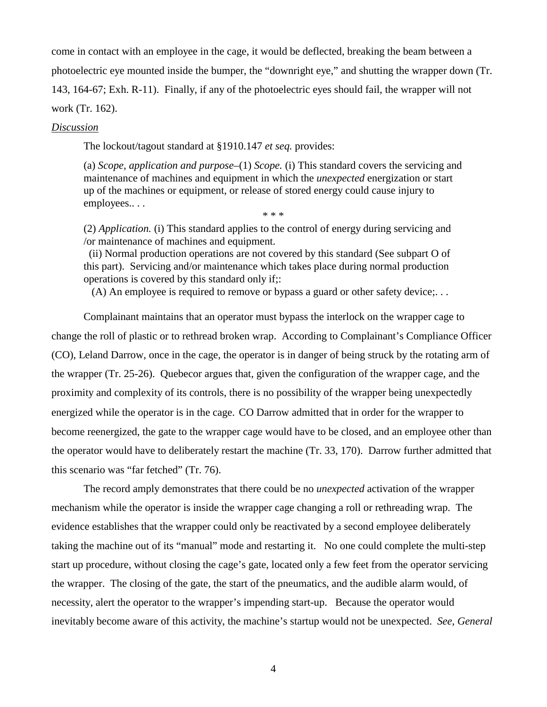come in contact with an employee in the cage, it would be deflected, breaking the beam between a photoelectric eye mounted inside the bumper, the "downright eye," and shutting the wrapper down (Tr. 143, 164-67; Exh. R-11). Finally, if any of the photoelectric eyes should fail, the wrapper will not work (Tr. 162).

#### *Discussion*

The lockout/tagout standard at §1910.147 *et seq.* provides:

(a) *Scope, application and purpose–*(1) *Scope.* (i) This standard covers the servicing and maintenance of machines and equipment in which the *unexpected* energization or start up of the machines or equipment, or release of stored energy could cause injury to employees.. . .

\* \* \*

(2) *Application.* (i) This standard applies to the control of energy during servicing and /or maintenance of machines and equipment.

(ii) Normal production operations are not covered by this standard (See subpart O of this part). Servicing and/or maintenance which takes place during normal production operations is covered by this standard only if;:

(A) An employee is required to remove or bypass a guard or other safety device;. . .

Complainant maintains that an operator must bypass the interlock on the wrapper cage to change the roll of plastic or to rethread broken wrap. According to Complainant's Compliance Officer (CO), Leland Darrow, once in the cage, the operator is in danger of being struck by the rotating arm of the wrapper (Tr. 25-26). Quebecor argues that, given the configuration of the wrapper cage, and the proximity and complexity of its controls, there is no possibility of the wrapper being unexpectedly energized while the operator is in the cage. CO Darrow admitted that in order for the wrapper to become reenergized, the gate to the wrapper cage would have to be closed, and an employee other than the operator would have to deliberately restart the machine (Tr. 33, 170). Darrow further admitted that this scenario was "far fetched" (Tr. 76).

The record amply demonstrates that there could be no *unexpected* activation of the wrapper mechanism while the operator is inside the wrapper cage changing a roll or rethreading wrap. The evidence establishes that the wrapper could only be reactivated by a second employee deliberately taking the machine out of its "manual" mode and restarting it. No one could complete the multi-step start up procedure, without closing the cage's gate, located only a few feet from the operator servicing the wrapper. The closing of the gate, the start of the pneumatics, and the audible alarm would, of necessity, alert the operator to the wrapper's impending start-up. Because the operator would inevitably become aware of this activity, the machine's startup would not be unexpected. *See, General* 

4